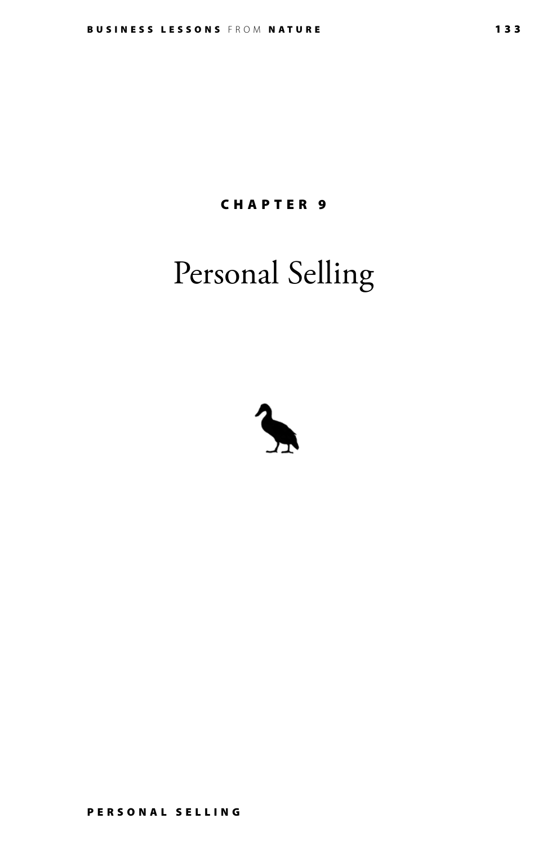C H A P T E R 9

## Personal Selling

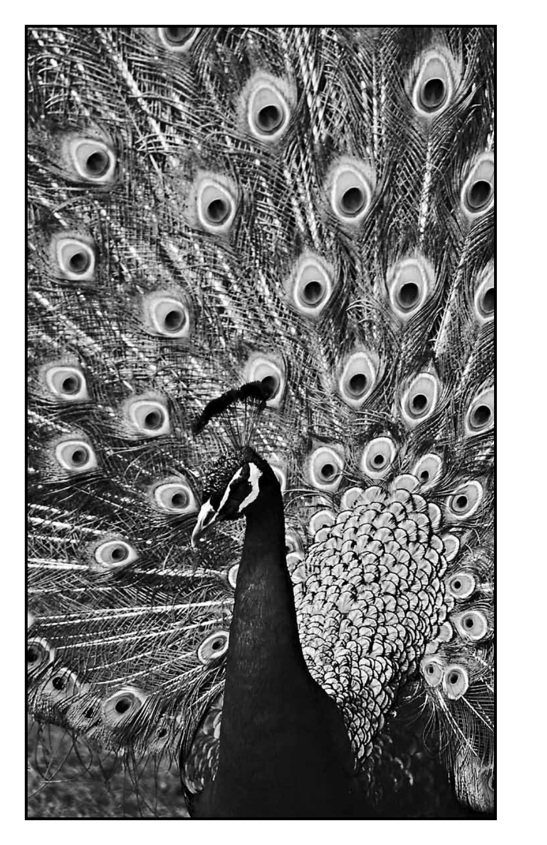